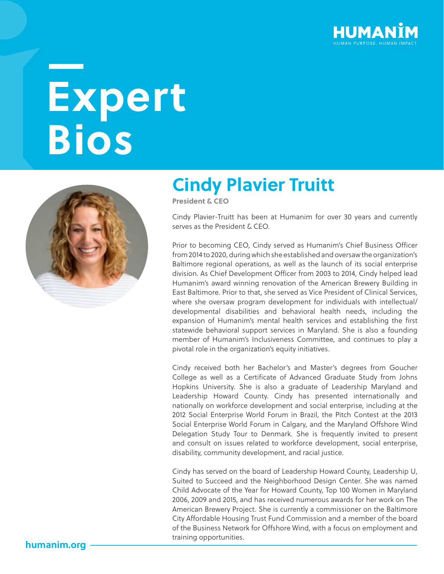

# **Expert Bios**



#### **Cindy Plavier Truitt**

**President & CEO**

Cindy Plavier-Truitt has been at Humanim for over 30 years and currently serves as the President & CEO.

Prior to becoming CEO, Cindy served as Humanim's Chief Business Officer from 2014 to 2020, during which she established and oversaw the organization's Baltimore regional operations, as well as the launch of its social enterprise division. As Chief Development Officer from 2003 to 2014, Cindy helped lead Humanim's award winning renovation of the American Brewery Building in East Baltimore. Prior to that, she served as Vice President of Clinical Services, where she oversaw program development for individuals with intellectual/ developmental disabilities and behavioral health needs, including the expansion of Humanim's mental health services and establishing the first statewide behavioral support services in Maryland. She is also a founding member of Humanim's Inclusiveness Committee, and continues to play a pivotal role in the organization's equity initiatives.

Cindy received both her Bachelor's and Master's degrees from Goucher College as well as a Certificate of Advanced Graduate Study from Johns Hopkins University. She is also a graduate of Leadership Maryland and Leadership Howard County. Cindy has presented internationally and nationally on workforce development and social enterprise, including at the 2012 Social Enterprise World Forum in Brazil, the Pitch Contest at the 2013 Social Enterprise World Forum in Calgary, and the Maryland Offshore Wind Delegation Study Tour to Denmark. She is frequently invited to present and consult on issues related to workforce development, social enterprise, disability, community development, and racial justice.

Cindy has served on the board of Leadership Howard County, Leadership U, Suited to Succeed and the Neighborhood Design Center. She was named Child Advocate of the Year for Howard County, Top 100 Women in Maryland 2006, 2009 and 2015, and has received numerous awards for her work on The American Brewery Project. She is currently a commissioner on the Baltimore City Affordable Housing Trust Fund Commission and a member of the board of the Business Network for Offshore Wind, with a focus on employment and training opportunities.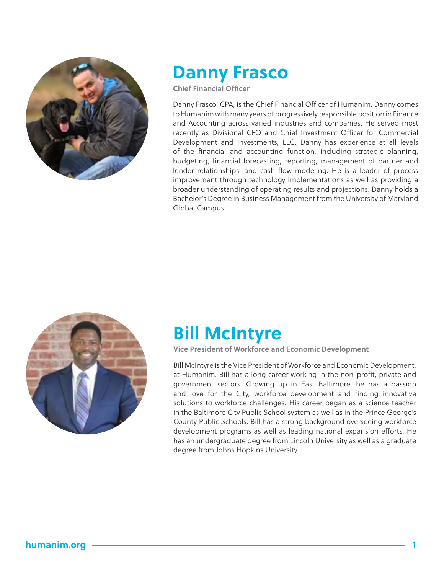

#### **Danny Frasco**

**Chief Financial Officer**

Danny Frasco, CPA, is the Chief Financial Officer of Humanim. Danny comes to Humanim with many years of progressively responsible position in Finance and Accounting across varied industries and companies. He served most recently as Divisional CFO and Chief Investment Officer for Commercial Development and Investments, LLC. Danny has experience at all levels of the financial and accounting function, including strategic planning, budgeting, financial forecasting, reporting, management of partner and lender relationships, and cash flow modeling. He is a leader of process improvement through technology implementations as well as providing a broader understanding of operating results and projections. Danny holds a Bachelor's Degree in Business Management from the University of Maryland Global Campus.



#### **Bill McIntyre**

**Vice President of Workforce and Economic Development** 

Bill McIntyre is the Vice President of Workforce and Economic Development, at Humanim. Bill has a long career working in the non-profit, private and government sectors. Growing up in East Baltimore, he has a passion and love for the City, workforce development and finding innovative solutions to workforce challenges. His career began as a science teacher in the Baltimore City Public School system as well as in the Prince George's County Public Schools. Bill has a strong background overseeing workforce development programs as well as leading national expansion efforts. He has an undergraduate degree from Lincoln University as well as a graduate degree from Johns Hopkins University.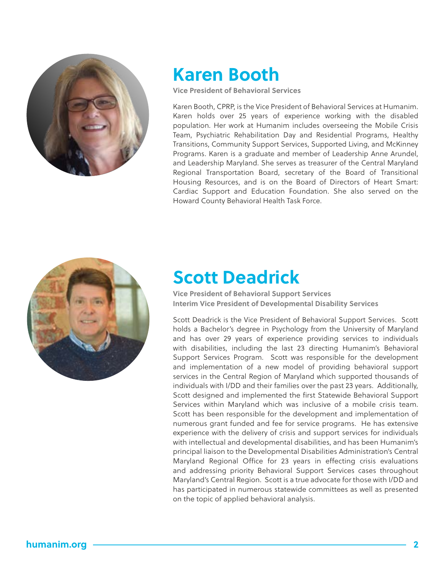

#### **Karen Booth**

**Vice President of Behavioral Services**

Karen Booth, CPRP, is the Vice President of Behavioral Services at Humanim. Karen holds over 25 years of experience working with the disabled population. Her work at Humanim includes overseeing the Mobile Crisis Team, Psychiatric Rehabilitation Day and Residential Programs, Healthy Transitions, Community Support Services, Supported Living, and McKinney Programs. Karen is a graduate and member of Leadership Anne Arundel, and Leadership Maryland. She serves as treasurer of the Central Maryland Regional Transportation Board, secretary of the Board of Transitional Housing Resources, and is on the Board of Directors of Heart Smart: Cardiac Support and Education Foundation. She also served on the Howard County Behavioral Health Task Force.



#### **Scott Deadrick**

**Vice President of Behavioral Support Services Interim Vice President of Developmental Disability Services**

Scott Deadrick is the Vice President of Behavioral Support Services. Scott holds a Bachelor's degree in Psychology from the University of Maryland and has over 29 years of experience providing services to individuals with disabilities, including the last 23 directing Humanim's Behavioral Support Services Program. Scott was responsible for the development and implementation of a new model of providing behavioral support services in the Central Region of Maryland which supported thousands of individuals with I/DD and their families over the past 23 years. Additionally, Scott designed and implemented the first Statewide Behavioral Support Services within Maryland which was inclusive of a mobile crisis team. Scott has been responsible for the development and implementation of numerous grant funded and fee for service programs. He has extensive experience with the delivery of crisis and support services for individuals with intellectual and developmental disabilities, and has been Humanim's principal liaison to the Developmental Disabilities Administration's Central Maryland Regional Office for 23 years in effecting crisis evaluations and addressing priority Behavioral Support Services cases throughout Maryland's Central Region. Scott is a true advocate for those with I/DD and has participated in numerous statewide committees as well as presented on the topic of applied behavioral analysis.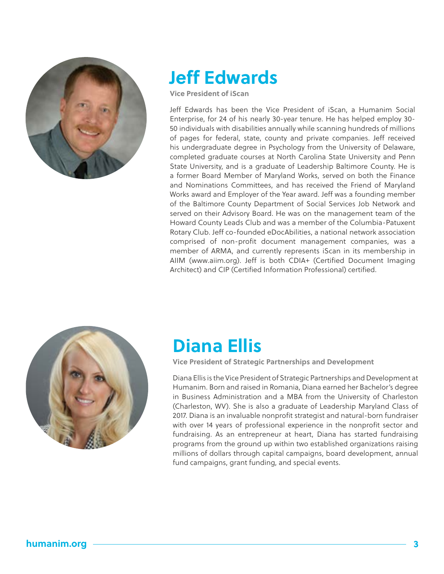

## **Jeff Edwards**

**Vice President of iScan**

Jeff Edwards has been the Vice President of iScan, a Humanim Social Enterprise, for 24 of his nearly 30-year tenure. He has helped employ 30- 50 individuals with disabilities annually while scanning hundreds of millions of pages for federal, state, county and private companies. Jeff received his undergraduate degree in Psychology from the University of Delaware, completed graduate courses at North Carolina State University and Penn State University, and is a graduate of Leadership Baltimore County. He is a former Board Member of Maryland Works, served on both the Finance and Nominations Committees, and has received the Friend of Maryland Works award and Employer of the Year award. Jeff was a founding member of the Baltimore County Department of Social Services Job Network and served on their Advisory Board. He was on the management team of the Howard County Leads Club and was a member of the Columbia-Patuxent Rotary Club. Jeff co-founded eDocAbilities, a national network association comprised of non-profit document management companies, was a member of ARMA, and currently represents iScan in its membership in AIIM (www.aiim.org). Jeff is both CDIA+ (Certified Document Imaging Architect) and CIP (Certified Information Professional) certified.



## **Diana Ellis**

**Vice President of Strategic Partnerships and Development**

Diana Ellis is the Vice President of Strategic Partnerships and Development at Humanim. Born and raised in Romania, Diana earned her Bachelor's degree in Business Administration and a MBA from the University of Charleston (Charleston, WV). She is also a graduate of Leadership Maryland Class of 2017. Diana is an invaluable nonprofit strategist and natural-born fundraiser with over 14 years of professional experience in the nonprofit sector and fundraising. As an entrepreneur at heart, Diana has started fundraising programs from the ground up within two established organizations raising millions of dollars through capital campaigns, board development, annual fund campaigns, grant funding, and special events.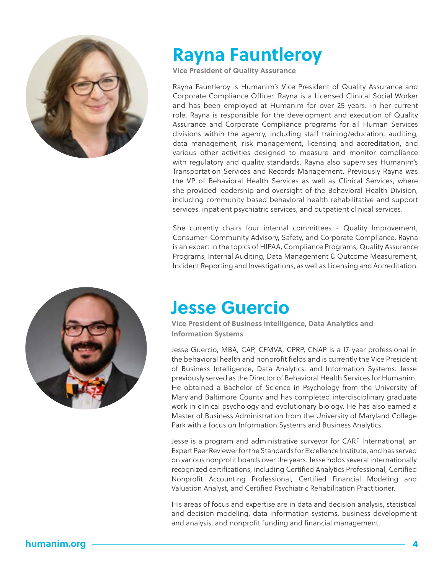

#### **Rayna Fauntleroy**

**Vice President of Quality Assurance**

Rayna Fauntleroy is Humanim's Vice President of Quality Assurance and Corporate Compliance Officer. Rayna is a Licensed Clinical Social Worker and has been employed at Humanim for over 25 years. In her current role, Rayna is responsible for the development and execution of Quality Assurance and Corporate Compliance programs for all Human Services divisions within the agency, including staff training/education, auditing, data management, risk management, licensing and accreditation, and various other activities designed to measure and monitor compliance with regulatory and quality standards. Rayna also supervises Humanim's Transportation Services and Records Management. Previously Rayna was the VP of Behavioral Health Services as well as Clinical Services, where she provided leadership and oversight of the Behavioral Health Division, including community based behavioral health rehabilitative and support services, inpatient psychiatric services, and outpatient clinical services.

She currently chairs four internal committees - Quality Improvement, Consumer-Community Advisory, Safety, and Corporate Compliance. Rayna is an expert in the topics of HIPAA, Compliance Programs, Quality Assurance Programs, Internal Auditing, Data Management & Outcome Measurement, Incident Reporting and Investigations, as well as Licensing and Accreditation.



#### **Jesse Guercio**

**Vice President of Business Intelligence, Data Analytics and Information Systems**

Jesse Guercio, MBA, CAP, CFMVA, CPRP, CNAP is a 17-year professional in the behavioral health and nonprofit fields and is currently the Vice President of Business Intelligence, Data Analytics, and Information Systems. Jesse previously served as the Director of Behavioral Health Services for Humanim. He obtained a Bachelor of Science in Psychology from the University of Maryland Baltimore County and has completed interdisciplinary graduate work in clinical psychology and evolutionary biology. He has also earned a Master of Business Administration from the University of Maryland College Park with a focus on Information Systems and Business Analytics.

Jesse is a program and administrative surveyor for CARF International, an Expert Peer Reviewer for the Standards for Excellence Institute, and has served on various nonprofit boards over the years. Jesse holds several internationally recognized certifications, including Certified Analytics Professional, Certified Nonprofit Accounting Professional, Certified Financial Modeling and Valuation Analyst, and Certified Psychiatric Rehabilitation Practitioner.

His areas of focus and expertise are in data and decision analysis, statistical and decision modeling, data information systems, business development and analysis, and nonprofit funding and financial management.